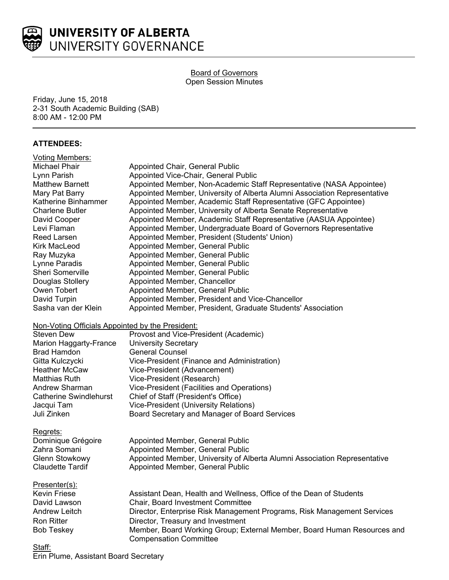

#### **Board of Governors** Open Session Minutes

Friday, June 15, 2018 2-31 South Academic Building (SAB) 8:00 AM - 12:00 PM

# **ATTENDEES:**

| <b>Voting Members:</b>                           |                                                                                                          |
|--------------------------------------------------|----------------------------------------------------------------------------------------------------------|
| Michael Phair                                    | Appointed Chair, General Public                                                                          |
| Lynn Parish                                      | Appointed Vice-Chair, General Public                                                                     |
| <b>Matthew Barnett</b>                           | Appointed Member, Non-Academic Staff Representative (NASA Appointee)                                     |
| Mary Pat Barry                                   | Appointed Member, University of Alberta Alumni Association Representative                                |
| Katherine Binhammer                              | Appointed Member, Academic Staff Representative (GFC Appointee)                                          |
| <b>Charlene Butler</b>                           | Appointed Member, University of Alberta Senate Representative                                            |
| David Cooper                                     | Appointed Member, Academic Staff Representative (AASUA Appointee)                                        |
| Levi Flaman                                      | Appointed Member, Undergraduate Board of Governors Representative                                        |
| Reed Larsen                                      | Appointed Member, President (Students' Union)                                                            |
| <b>Kirk MacLeod</b>                              | Appointed Member, General Public                                                                         |
| Ray Muzyka                                       | Appointed Member, General Public                                                                         |
| Lynne Paradis                                    | Appointed Member, General Public                                                                         |
| Sheri Somerville                                 | Appointed Member, General Public                                                                         |
| Douglas Stollery                                 | Appointed Member, Chancellor                                                                             |
| Owen Tobert                                      | Appointed Member, General Public                                                                         |
| David Turpin                                     | Appointed Member, President and Vice-Chancellor                                                          |
| Sasha van der Klein                              | Appointed Member, President, Graduate Students' Association                                              |
| Non-Voting Officials Appointed by the President: |                                                                                                          |
| <b>Steven Dew</b>                                | Provost and Vice-President (Academic)                                                                    |
| Marion Haggarty-France                           | <b>University Secretary</b>                                                                              |
| <b>Brad Hamdon</b>                               | <b>General Counsel</b>                                                                                   |
| Gitta Kulczycki                                  | Vice-President (Finance and Administration)                                                              |
| <b>Heather McCaw</b>                             | Vice-President (Advancement)                                                                             |
| <b>Matthias Ruth</b>                             | Vice-President (Research)                                                                                |
| <b>Andrew Sharman</b>                            | Vice-President (Facilities and Operations)                                                               |
| <b>Catherine Swindlehurst</b>                    | Chief of Staff (President's Office)                                                                      |
| Jacqui Tam                                       | Vice-President (University Relations)                                                                    |
| Juli Zinken                                      | Board Secretary and Manager of Board Services                                                            |
| Regrets:                                         |                                                                                                          |
| Dominique Grégoire                               | Appointed Member, General Public                                                                         |
| Zahra Somani                                     | Appointed Member, General Public                                                                         |
| <b>Glenn Stowkowy</b>                            | Appointed Member, University of Alberta Alumni Association Representative                                |
| <b>Claudette Tardif</b>                          | Appointed Member, General Public                                                                         |
| Presenter(s):                                    |                                                                                                          |
| Kevin Friese                                     | Assistant Dean, Health and Wellness, Office of the Dean of Students                                      |
| David Lawson                                     | Chair, Board Investment Committee                                                                        |
| <b>Andrew Leitch</b>                             | Director, Enterprise Risk Management Programs, Risk Management Services                                  |
| <b>Ron Ritter</b>                                | Director, Treasury and Investment                                                                        |
| <b>Bob Teskey</b>                                | Member, Board Working Group; External Member, Board Human Resources and<br><b>Compensation Committee</b> |
| <u>Staff:</u>                                    |                                                                                                          |
|                                                  |                                                                                                          |

Erin Plume, Assistant Board Secretary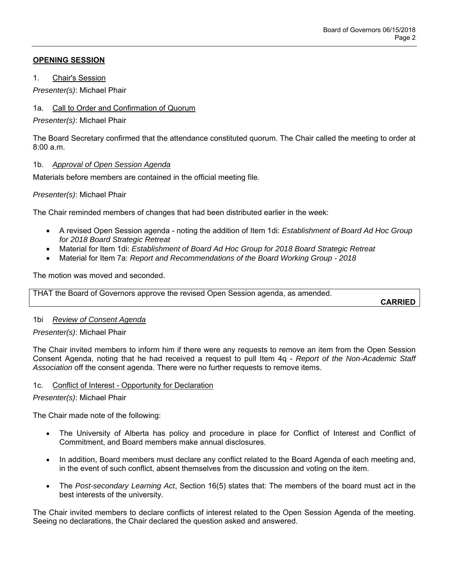# **OPENING SESSION**

1. Chair's Session

*Presenter(s)*: Michael Phair

## 1a. Call to Order and Confirmation of Quorum

*Presenter(s)*: Michael Phair

The Board Secretary confirmed that the attendance constituted quorum. The Chair called the meeting to order at  $8:00a \, m$ 

## 1b. *Approval of Open Session Agenda*

Materials before members are contained in the official meeting file.

# *Presenter(s)*: Michael Phair

The Chair reminded members of changes that had been distributed earlier in the week:

- A revised Open Session agenda noting the addition of Item 1di: *Establishment of Board Ad Hoc Group for 2018 Board Strategic Retreat*
- Material for Item 1di: *Establishment of Board Ad Hoc Group for 2018 Board Strategic Retreat*
- Material for Item 7a: *Report and Recommendations of the Board Working Group 2018*

The motion was moved and seconded.

THAT the Board of Governors approve the revised Open Session agenda, as amended.

**CARRIED**

## 1bi *Review of Consent Agenda*

## *Presenter(s)*: Michael Phair

The Chair invited members to inform him if there were any requests to remove an item from the Open Session Consent Agenda, noting that he had received a request to pull Item 4q - *Report of the Non-Academic Staff Association* off the consent agenda. There were no further requests to remove items.

## 1c. Conflict of Interest - Opportunity for Declaration

*Presenter(s)*: Michael Phair

The Chair made note of the following:

- The University of Alberta has policy and procedure in place for Conflict of Interest and Conflict of Commitment, and Board members make annual disclosures.
- In addition, Board members must declare any conflict related to the Board Agenda of each meeting and, in the event of such conflict, absent themselves from the discussion and voting on the item.
- The *Post-secondary Learning Act*, Section 16(5) states that: The members of the board must act in the best interests of the university.

The Chair invited members to declare conflicts of interest related to the Open Session Agenda of the meeting. Seeing no declarations, the Chair declared the question asked and answered.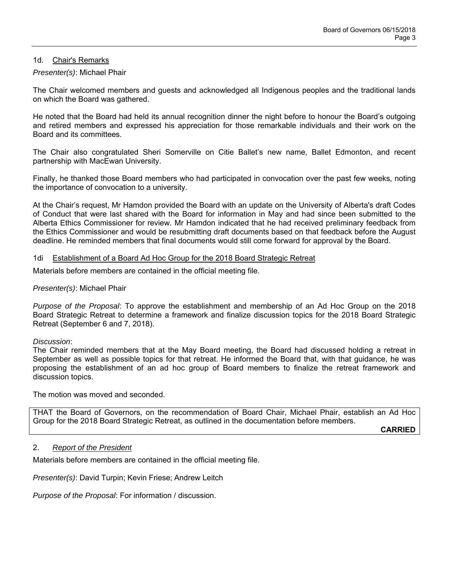## 1d. Chair's Remarks

#### *Presenter(s)*: Michael Phair

The Chair welcomed members and guests and acknowledged all Indigenous peoples and the traditional lands on which the Board was gathered.

He noted that the Board had held its annual recognition dinner the night before to honour the Board's outgoing and retired members and expressed his appreciation for those remarkable individuals and their work on the Board and its committees.

The Chair also congratulated Sheri Somerville on Citie Ballet's new name, Ballet Edmonton, and recent partnership with MacEwan University.

Finally, he thanked those Board members who had participated in convocation over the past few weeks, noting the importance of convocation to a university.

At the Chair's request, Mr Hamdon provided the Board with an update on the University of Alberta's draft Codes of Conduct that were last shared with the Board for information in May and had since been submitted to the Alberta Ethics Commissioner for review. Mr Hamdon indicated that he had received preliminary feedback from the Ethics Commissioner and would be resubmitting draft documents based on that feedback before the August deadline. He reminded members that final documents would still come forward for approval by the Board.

#### 1di Establishment of a Board Ad Hoc Group for the 2018 Board Strategic Retreat

Materials before members are contained in the official meeting file.

#### *Presenter(s)*: Michael Phair

*Purpose of the Proposal*: To approve the establishment and membership of an Ad Hoc Group on the 2018 Board Strategic Retreat to determine a framework and finalize discussion topics for the 2018 Board Strategic Retreat (September 6 and 7, 2018).

#### *Discussion*:

The Chair reminded members that at the May Board meeting, the Board had discussed holding a retreat in September as well as possible topics for that retreat. He informed the Board that, with that guidance, he was proposing the establishment of an ad hoc group of Board members to finalize the retreat framework and discussion topics.

The motion was moved and seconded.

THAT the Board of Governors, on the recommendation of Board Chair, Michael Phair, establish an Ad Hoc Group for the 2018 Board Strategic Retreat, as outlined in the documentation before members.

**CARRIED**

## 2. *Report of the President*

Materials before members are contained in the official meeting file.

*Presenter(s)*: David Turpin; Kevin Friese; Andrew Leitch

*Purpose of the Proposal*: For information / discussion.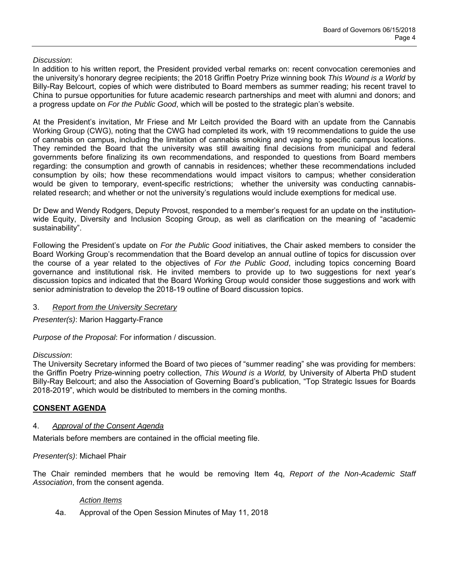# *Discussion*:

In addition to his written report, the President provided verbal remarks on: recent convocation ceremonies and the university's honorary degree recipients; the 2018 Griffin Poetry Prize winning book *This Wound is a World* by Billy-Ray Belcourt, copies of which were distributed to Board members as summer reading; his recent travel to China to pursue opportunities for future academic research partnerships and meet with alumni and donors; and a progress update on *For the Public Good*, which will be posted to the strategic plan's website.

At the President's invitation, Mr Friese and Mr Leitch provided the Board with an update from the Cannabis Working Group (CWG), noting that the CWG had completed its work, with 19 recommendations to guide the use of cannabis on campus, including the limitation of cannabis smoking and vaping to specific campus locations. They reminded the Board that the university was still awaiting final decisions from municipal and federal governments before finalizing its own recommendations, and responded to questions from Board members regarding: the consumption and growth of cannabis in residences; whether these recommendations included consumption by oils; how these recommendations would impact visitors to campus; whether consideration would be given to temporary, event-specific restrictions; whether the university was conducting cannabisrelated research; and whether or not the university's regulations would include exemptions for medical use.

Dr Dew and Wendy Rodgers, Deputy Provost, responded to a member's request for an update on the institutionwide Equity, Diversity and Inclusion Scoping Group, as well as clarification on the meaning of "academic sustainability".

Following the President's update on *For the Public Good* initiatives, the Chair asked members to consider the Board Working Group's recommendation that the Board develop an annual outline of topics for discussion over the course of a year related to the objectives of *For the Public Good*, including topics concerning Board governance and institutional risk. He invited members to provide up to two suggestions for next year's discussion topics and indicated that the Board Working Group would consider those suggestions and work with senior administration to develop the 2018-19 outline of Board discussion topics.

## 3. *Report from the University Secretary*

*Presenter(s)*: Marion Haggarty-France

*Purpose of the Proposal*: For information / discussion.

## *Discussion*:

The University Secretary informed the Board of two pieces of "summer reading" she was providing for members: the Griffin Poetry Prize-winning poetry collection, *This Wound is a World,* by University of Alberta PhD student Billy-Ray Belcourt; and also the Association of Governing Board's publication, "Top Strategic Issues for Boards 2018-2019", which would be distributed to members in the coming months.

## **CONSENT AGENDA**

## 4. *Approval of the Consent Agenda*

Materials before members are contained in the official meeting file.

## *Presenter(s)*: Michael Phair

The Chair reminded members that he would be removing Item 4q, *Report of the Non-Academic Staff Association*, from the consent agenda.

#### *Action Items*

4a. Approval of the Open Session Minutes of May 11, 2018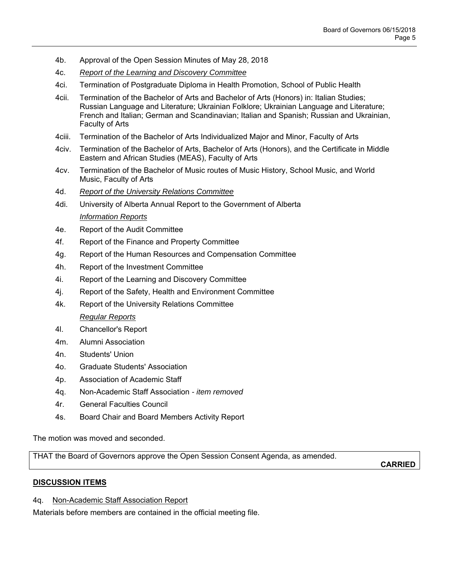- 4b. Approval of the Open Session Minutes of May 28, 2018
- 4c. *Report of the Learning and Discovery Committee*
- 4ci. Termination of Postgraduate Diploma in Health Promotion, School of Public Health
- 4cii. Termination of the Bachelor of Arts and Bachelor of Arts (Honors) in: Italian Studies; Russian Language and Literature; Ukrainian Folklore; Ukrainian Language and Literature; French and Italian; German and Scandinavian; Italian and Spanish; Russian and Ukrainian, Faculty of Arts
- 4ciii. Termination of the Bachelor of Arts Individualized Major and Minor, Faculty of Arts
- 4civ. Termination of the Bachelor of Arts, Bachelor of Arts (Honors), and the Certificate in Middle Eastern and African Studies (MEAS), Faculty of Arts
- 4cv. Termination of the Bachelor of Music routes of Music History, School Music, and World Music, Faculty of Arts
- 4d. *Report of the University Relations Committee*
- 4di. University of Alberta Annual Report to the Government of Alberta *Information Reports*
- 4e. Report of the Audit Committee
- 4f. Report of the Finance and Property Committee
- 4g. Report of the Human Resources and Compensation Committee
- 4h. Report of the Investment Committee
- 4i. Report of the Learning and Discovery Committee
- 4j. Report of the Safety, Health and Environment Committee
- 4k. Report of the University Relations Committee *Regular Reports*
- 4l. Chancellor's Report
- 4m. Alumni Association
- 4n. Students' Union
- 4o. Graduate Students' Association
- 4p. Association of Academic Staff
- 4q. Non-Academic Staff Association  *item removed*
- 4r. General Faculties Council
- 4s. Board Chair and Board Members Activity Report

The motion was moved and seconded.

THAT the Board of Governors approve the Open Session Consent Agenda, as amended.

**CARRIED**

## **DISCUSSION ITEMS**

## 4q. Non-Academic Staff Association Report

Materials before members are contained in the official meeting file.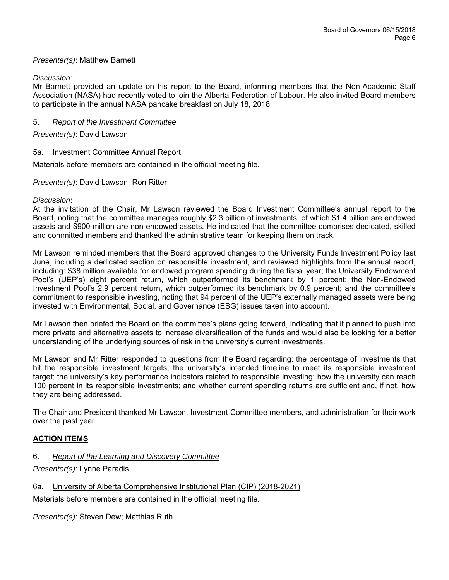## *Presenter(s)*: Matthew Barnett

## *Discussion*:

Mr Barnett provided an update on his report to the Board, informing members that the Non-Academic Staff Association (NASA) had recently voted to join the Alberta Federation of Labour. He also invited Board members to participate in the annual NASA pancake breakfast on July 18, 2018.

## 5. *Report of the Investment Committee*

# *Presenter(s)*: David Lawson

## 5a. Investment Committee Annual Report

Materials before members are contained in the official meeting file.

## *Presenter(s)*: David Lawson; Ron Ritter

# *Discussion*:

At the invitation of the Chair, Mr Lawson reviewed the Board Investment Committee's annual report to the Board, noting that the committee manages roughly \$2.3 billion of investments, of which \$1.4 billion are endowed assets and \$900 million are non-endowed assets. He indicated that the committee comprises dedicated, skilled and committed members and thanked the administrative team for keeping them on track.

Mr Lawson reminded members that the Board approved changes to the University Funds Investment Policy last June, including a dedicated section on responsible investment, and reviewed highlights from the annual report, including: \$38 million available for endowed program spending during the fiscal year; the University Endowment Pool's (UEP's) eight percent return, which outperformed its benchmark by 1 percent; the Non-Endowed Investment Pool's 2.9 percent return, which outperformed its benchmark by 0.9 percent; and the committee's commitment to responsible investing, noting that 94 percent of the UEP's externally managed assets were being invested with Environmental, Social, and Governance (ESG) issues taken into account.

Mr Lawson then briefed the Board on the committee's plans going forward, indicating that it planned to push into more private and alternative assets to increase diversification of the funds and would also be looking for a better understanding of the underlying sources of risk in the university's current investments.

Mr Lawson and Mr Ritter responded to questions from the Board regarding: the percentage of investments that hit the responsible investment targets; the university's intended timeline to meet its responsible investment target; the university's key performance indicators related to responsible investing; how the university can reach 100 percent in its responsible investments; and whether current spending returns are sufficient and, if not, how they are being addressed.

The Chair and President thanked Mr Lawson, Investment Committee members, and administration for their work over the past year.

# **ACTION ITEMS**

6. *Report of the Learning and Discovery Committee*

*Presenter(s)*: Lynne Paradis

## 6a. University of Alberta Comprehensive Institutional Plan (CIP) (2018-2021)

Materials before members are contained in the official meeting file.

*Presenter(s)*: Steven Dew; Matthias Ruth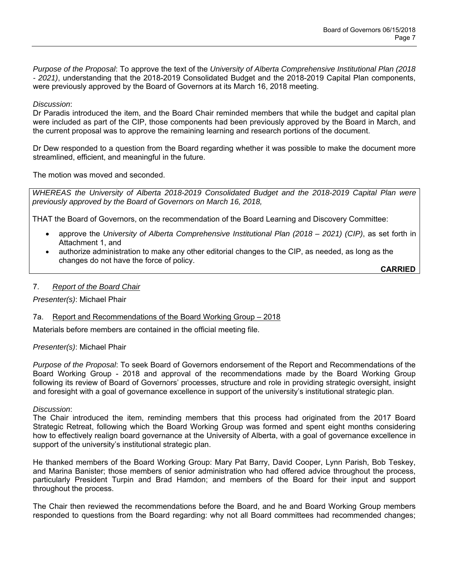*Purpose of the Proposal*: To approve the text of the *University of Alberta Comprehensive Institutional Plan (2018 - 2021)*, understanding that the 2018-2019 Consolidated Budget and the 2018-2019 Capital Plan components, were previously approved by the Board of Governors at its March 16, 2018 meeting.

## *Discussion*:

Dr Paradis introduced the item, and the Board Chair reminded members that while the budget and capital plan were included as part of the CIP, those components had been previously approved by the Board in March, and the current proposal was to approve the remaining learning and research portions of the document.

Dr Dew responded to a question from the Board regarding whether it was possible to make the document more streamlined, efficient, and meaningful in the future.

The motion was moved and seconded.

*WHEREAS the University of Alberta 2018-2019 Consolidated Budget and the 2018-2019 Capital Plan were previously approved by the Board of Governors on March 16, 2018,* 

THAT the Board of Governors, on the recommendation of the Board Learning and Discovery Committee:

- approve the *University of Alberta Comprehensive Institutional Plan (2018 2021) (CIP)*, as set forth in Attachment 1, and
- authorize administration to make any other editorial changes to the CIP, as needed, as long as the changes do not have the force of policy.

**CARRIED**

#### 7. *Report of the Board Chair*

*Presenter(s)*: Michael Phair

## 7a. Report and Recommendations of the Board Working Group – 2018

Materials before members are contained in the official meeting file.

*Presenter(s)*: Michael Phair

*Purpose of the Proposal*: To seek Board of Governors endorsement of the Report and Recommendations of the Board Working Group - 2018 and approval of the recommendations made by the Board Working Group following its review of Board of Governors' processes, structure and role in providing strategic oversight, insight and foresight with a goal of governance excellence in support of the university's institutional strategic plan.

#### *Discussion*:

The Chair introduced the item, reminding members that this process had originated from the 2017 Board Strategic Retreat, following which the Board Working Group was formed and spent eight months considering how to effectively realign board governance at the University of Alberta, with a goal of governance excellence in support of the university's institutional strategic plan.

He thanked members of the Board Working Group: Mary Pat Barry, David Cooper, Lynn Parish, Bob Teskey, and Marina Banister; those members of senior administration who had offered advice throughout the process, particularly President Turpin and Brad Hamdon; and members of the Board for their input and support throughout the process.

The Chair then reviewed the recommendations before the Board, and he and Board Working Group members responded to questions from the Board regarding: why not all Board committees had recommended changes;